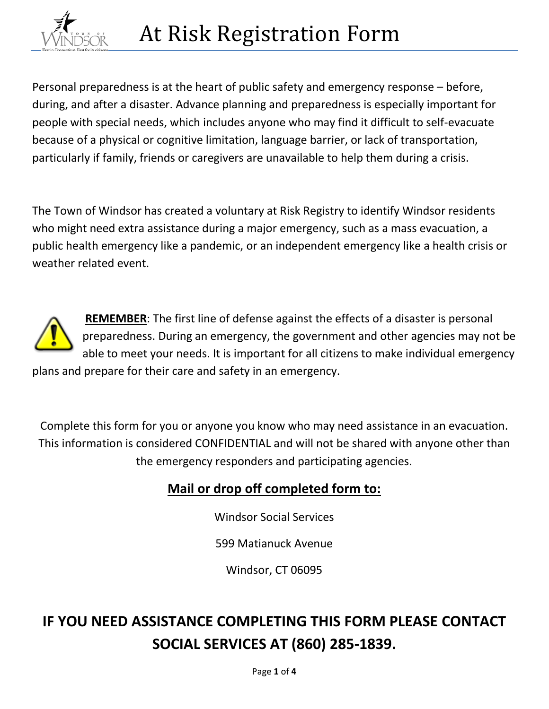

Personal preparedness is at the heart of public safety and emergency response – before, during, and after a disaster. Advance planning and preparedness is especially important for people with special needs, which includes anyone who may find it difficult to self-evacuate because of a physical or cognitive limitation, language barrier, or lack of transportation, particularly if family, friends or caregivers are unavailable to help them during a crisis.

The Town of Windsor has created a voluntary at Risk Registry to identify Windsor residents who might need extra assistance during a major emergency, such as a mass evacuation, a public health emergency like a pandemic, or an independent emergency like a health crisis or weather related event.



**REMEMBER**: The first line of defense against the effects of a disaster is personal preparedness. During an emergency, the government and other agencies may not be able to meet your needs. It is important for all citizens to make individual emergency plans and prepare for their care and safety in an emergency.

Complete this form for you or anyone you know who may need assistance in an evacuation. This information is considered CONFIDENTIAL and will not be shared with anyone other than the emergency responders and participating agencies.

### **Mail or drop off completed form to:**

Windsor Social Services

599 Matianuck Avenue

Windsor, CT 06095

# **IF YOU NEED ASSISTANCE COMPLETING THIS FORM PLEASE CONTACT SOCIAL SERVICES AT (860) 285-1839.**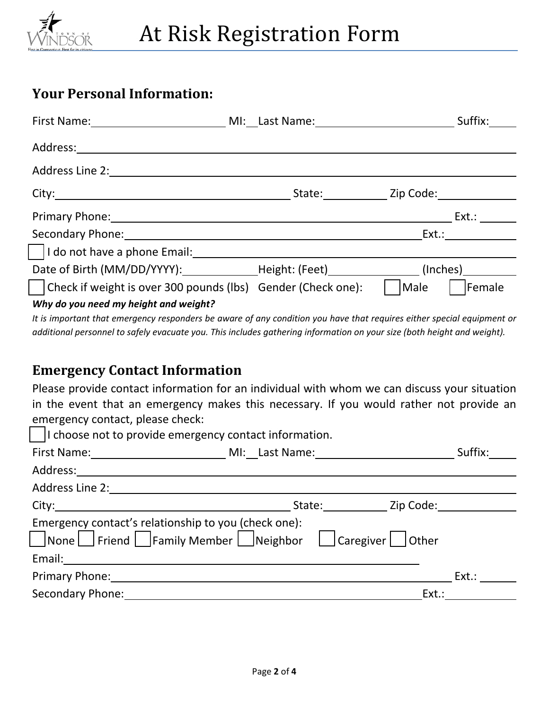

### **Your Personal Information:**

| First Name: MI: Last Name: MI: Last Name:                    |                  |      | Suffix:                                                                                                                                                                                                                        |
|--------------------------------------------------------------|------------------|------|--------------------------------------------------------------------------------------------------------------------------------------------------------------------------------------------------------------------------------|
|                                                              |                  |      |                                                                                                                                                                                                                                |
| Address Line 2:                                              |                  |      |                                                                                                                                                                                                                                |
| City:                                                        | State: Zip Code: |      |                                                                                                                                                                                                                                |
|                                                              |                  |      | Ext.:                                                                                                                                                                                                                          |
| Secondary Phone: Secondary Phone:                            |                  |      | Ext.: The contract of the contract of the contract of the contract of the contract of the contract of the contract of the contract of the contract of the contract of the contract of the contract of the contract of the cont |
| I do not have a phone Email:<br>I do not have a phone Email: |                  |      |                                                                                                                                                                                                                                |
| Date of Birth (MM/DD/YYYY): Height: (Feet) (Inches)          |                  |      |                                                                                                                                                                                                                                |
| Check if weight is over 300 pounds (lbs) Gender (Check one): |                  | Male | Female                                                                                                                                                                                                                         |
| Why do you need my height and weight?                        |                  |      |                                                                                                                                                                                                                                |

*It is important that emergency responders be aware of any condition you have that requires either special equipment or additional personnel to safely evacuate you. This includes gathering information on your size (both height and weight).*

## **Emergency Contact Information**

Please provide contact information for an individual with whom we can discuss your situation in the event that an emergency makes this necessary. If you would rather not provide an emergency contact, please check:

| I choose not to provide emergency contact information.                                                                                                                                                                         |                  |
|--------------------------------------------------------------------------------------------------------------------------------------------------------------------------------------------------------------------------------|------------------|
| First Name: __________________________________MI:__Last Name: __________________                                                                                                                                               | Suffix:          |
| Address:                                                                                                                                                                                                                       |                  |
| Address Line 2: <u>_____________________________</u>                                                                                                                                                                           |                  |
| City: the contract of the contract of the contract of the contract of the contract of the contract of the contract of the contract of the contract of the contract of the contract of the contract of the contract of the cont | State: Zip Code: |
| Emergency contact's relationship to you (check one):<br>None Friend Family Member Neighbor Caregiver Other                                                                                                                     |                  |
|                                                                                                                                                                                                                                |                  |
| <b>Primary Phone:</b> The Company of the Company Phone:                                                                                                                                                                        | Ext.:            |
| <b>Secondary Phone:</b>                                                                                                                                                                                                        | Ext.:            |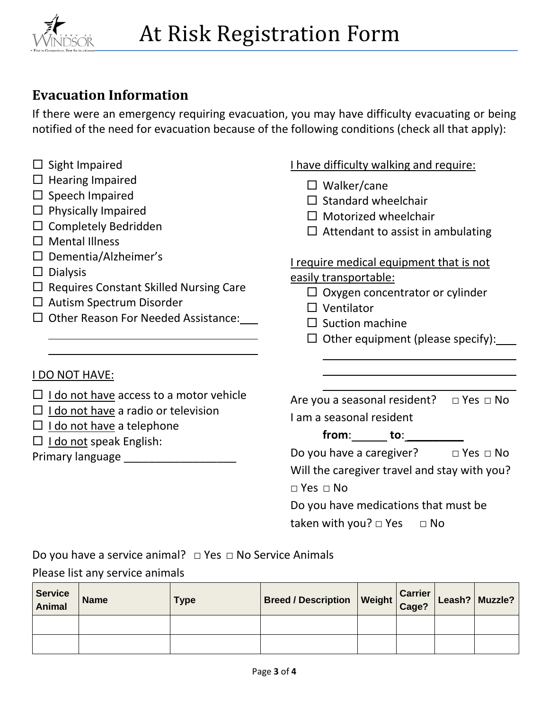

# **Evacuation Information**

If there were an emergency requiring evacuation, you may have difficulty evacuating or being notified of the need for evacuation because of the following conditions (check all that apply):

- $\square$  Sight Impaired
- $\Box$  Hearing Impaired
- $\square$  Speech Impaired
- $\Box$  Physically Impaired
- $\square$  Completely Bedridden
- $\square$  Mental Illness
- $\square$  Dementia/Alzheimer's
- $\square$  Dialysis

 

- $\Box$  Requires Constant Skilled Nursing Care
- □ Autism Spectrum Disorder
- $\Box$  Other Reason For Needed Assistance:

#### I have difficulty walking and require:

- $\Box$  Walker/cane
- $\square$  Standard wheelchair
- $\Box$  Motorized wheelchair
- $\Box$  Attendant to assist in ambulating

#### I require medical equipment that is not easily transportable:

- - $\Box$  Oxygen concentrator or cylinder
	- □ Ventilator

 $\overline{\phantom{0}}$ 

- $\square$  Suction machine
- $\Box$  Other equipment (please specify):

#### I DO NOT HAVE:

- $\Box$  I do not have access to a motor vehicle
- $\Box$  I do not have a radio or television
- $\Box$  I do not have a telephone
- $\square$  I do not speak English:

Primary language \_\_\_\_\_\_\_\_\_\_\_\_\_\_\_\_\_\_

| Are you a seasonal resident? $\Box$ Yes $\Box$ No |  |
|---------------------------------------------------|--|
| I am a seasonal resident                          |  |

**from**: **to**: \_\_\_\_\_\_\_\_\_

| Do you have a caregiver? | $\Box$ Yes $\Box$ No |
|--------------------------|----------------------|
|--------------------------|----------------------|

Will the caregiver travel and stay with you?

□ Yes □ No

Do you have medications that must be taken with you?  $\Box$  Yes  $\Box$  No

Do you have a service animal? □ Yes □ No Service Animals

#### Please list any service animals

| <b>Service</b><br><b>Animal</b> | <b>Name</b> | Type | Breed / Description Weight Carrier Leash? Muzzle |  |  |
|---------------------------------|-------------|------|--------------------------------------------------|--|--|
|                                 |             |      |                                                  |  |  |
|                                 |             |      |                                                  |  |  |